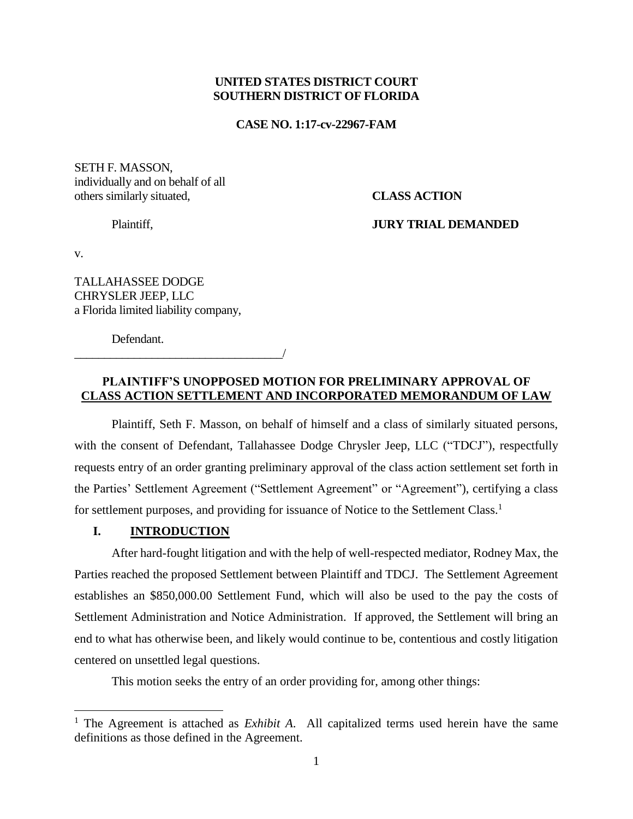## **UNITED STATES DISTRICT COURT SOUTHERN DISTRICT OF FLORIDA**

#### **CASE NO. 1:17-cv-22967-FAM**

SETH F. MASSON, individually and on behalf of all others similarly situated, **CLASS ACTION**

Plaintiff, **JURY TRIAL DEMANDED**

v.

 $\overline{a}$ 

TALLAHASSEE DODGE CHRYSLER JEEP, LLC a Florida limited liability company,

Defendant.

\_\_\_\_\_\_\_\_\_\_\_\_\_\_\_\_\_\_\_\_\_\_\_\_\_\_\_\_\_\_\_\_\_\_\_/

## **PLAINTIFF'S UNOPPOSED MOTION FOR PRELIMINARY APPROVAL OF CLASS ACTION SETTLEMENT AND INCORPORATED MEMORANDUM OF LAW**

Plaintiff, Seth F. Masson, on behalf of himself and a class of similarly situated persons, with the consent of Defendant, Tallahassee Dodge Chrysler Jeep, LLC ("TDCJ"), respectfully requests entry of an order granting preliminary approval of the class action settlement set forth in the Parties' Settlement Agreement ("Settlement Agreement" or "Agreement"), certifying a class for settlement purposes, and providing for issuance of Notice to the Settlement Class.<sup>1</sup>

## **I. INTRODUCTION**

After hard-fought litigation and with the help of well-respected mediator, Rodney Max, the Parties reached the proposed Settlement between Plaintiff and TDCJ. The Settlement Agreement establishes an \$850,000.00 Settlement Fund, which will also be used to the pay the costs of Settlement Administration and Notice Administration. If approved, the Settlement will bring an end to what has otherwise been, and likely would continue to be, contentious and costly litigation centered on unsettled legal questions.

This motion seeks the entry of an order providing for, among other things:

<sup>1</sup> The Agreement is attached as *Exhibit A*. All capitalized terms used herein have the same definitions as those defined in the Agreement.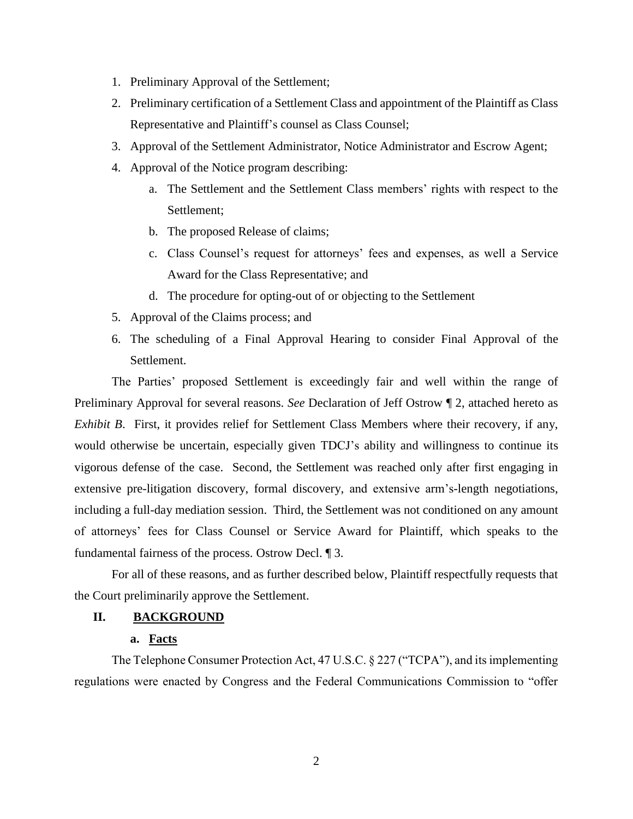- 1. Preliminary Approval of the Settlement;
- 2. Preliminary certification of a Settlement Class and appointment of the Plaintiff as Class Representative and Plaintiff's counsel as Class Counsel;
- 3. Approval of the Settlement Administrator, Notice Administrator and Escrow Agent;
- 4. Approval of the Notice program describing:
	- a. The Settlement and the Settlement Class members' rights with respect to the Settlement;
	- b. The proposed Release of claims;
	- c. Class Counsel's request for attorneys' fees and expenses, as well a Service Award for the Class Representative; and
	- d. The procedure for opting-out of or objecting to the Settlement
- 5. Approval of the Claims process; and
- 6. The scheduling of a Final Approval Hearing to consider Final Approval of the Settlement.

The Parties' proposed Settlement is exceedingly fair and well within the range of Preliminary Approval for several reasons. *See* Declaration of Jeff Ostrow ¶ 2, attached hereto as *Exhibit B*. First, it provides relief for Settlement Class Members where their recovery, if any, would otherwise be uncertain, especially given TDCJ's ability and willingness to continue its vigorous defense of the case. Second, the Settlement was reached only after first engaging in extensive pre-litigation discovery, formal discovery, and extensive arm's-length negotiations, including a full-day mediation session. Third, the Settlement was not conditioned on any amount of attorneys' fees for Class Counsel or Service Award for Plaintiff, which speaks to the fundamental fairness of the process. Ostrow Decl. ¶ 3.

For all of these reasons, and as further described below, Plaintiff respectfully requests that the Court preliminarily approve the Settlement.

## **II. BACKGROUND**

## **a. Facts**

The Telephone Consumer Protection Act, 47 U.S.C. § 227 ("TCPA"), and its implementing regulations were enacted by Congress and the Federal Communications Commission to "offer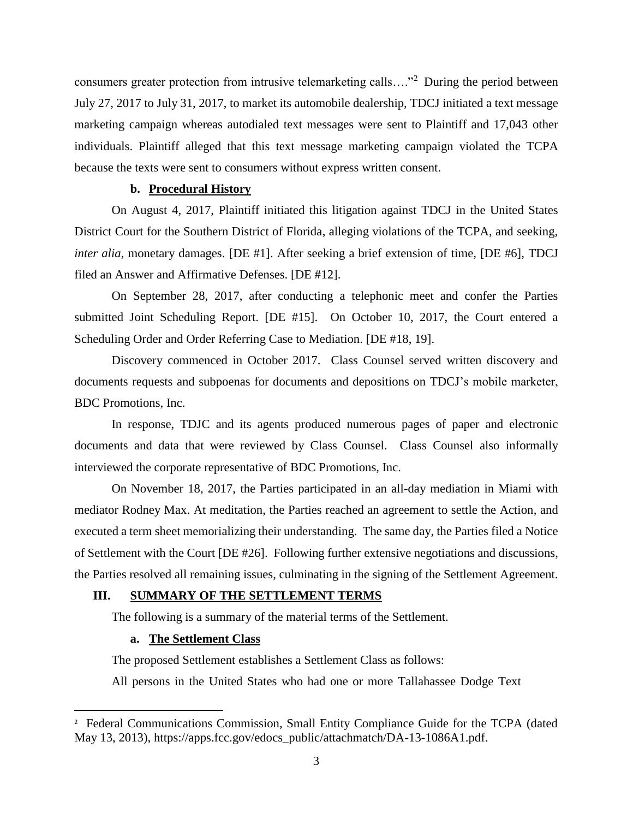consumers greater protection from intrusive telemarketing calls…."<sup>2</sup> During the period between July 27, 2017 to July 31, 2017, to market its automobile dealership, TDCJ initiated a text message marketing campaign whereas autodialed text messages were sent to Plaintiff and 17,043 other individuals. Plaintiff alleged that this text message marketing campaign violated the TCPA because the texts were sent to consumers without express written consent.

#### **b. Procedural History**

On August 4, 2017, Plaintiff initiated this litigation against TDCJ in the United States District Court for the Southern District of Florida, alleging violations of the TCPA, and seeking, *inter alia,* monetary damages. [DE #1]. After seeking a brief extension of time, [DE #6], TDCJ filed an Answer and Affirmative Defenses. [DE #12].

On September 28, 2017, after conducting a telephonic meet and confer the Parties submitted Joint Scheduling Report. [DE #15]. On October 10, 2017, the Court entered a Scheduling Order and Order Referring Case to Mediation. [DE #18, 19].

Discovery commenced in October 2017. Class Counsel served written discovery and documents requests and subpoenas for documents and depositions on TDCJ's mobile marketer, BDC Promotions, Inc.

In response, TDJC and its agents produced numerous pages of paper and electronic documents and data that were reviewed by Class Counsel. Class Counsel also informally interviewed the corporate representative of BDC Promotions, Inc.

On November 18, 2017, the Parties participated in an all-day mediation in Miami with mediator Rodney Max. At meditation, the Parties reached an agreement to settle the Action, and executed a term sheet memorializing their understanding. The same day, the Parties filed a Notice of Settlement with the Court [DE #26]. Following further extensive negotiations and discussions, the Parties resolved all remaining issues, culminating in the signing of the Settlement Agreement.

#### **III. SUMMARY OF THE SETTLEMENT TERMS**

The following is a summary of the material terms of the Settlement.

## **a. The Settlement Class**

 $\overline{\phantom{a}}$ 

The proposed Settlement establishes a Settlement Class as follows:

All persons in the United States who had one or more Tallahassee Dodge Text

<sup>&</sup>lt;sup>2</sup> Federal Communications Commission, Small Entity Compliance Guide for the TCPA (dated May 13, 2013), https://apps.fcc.gov/edocs\_public/attachmatch/DA-13-1086A1.pdf.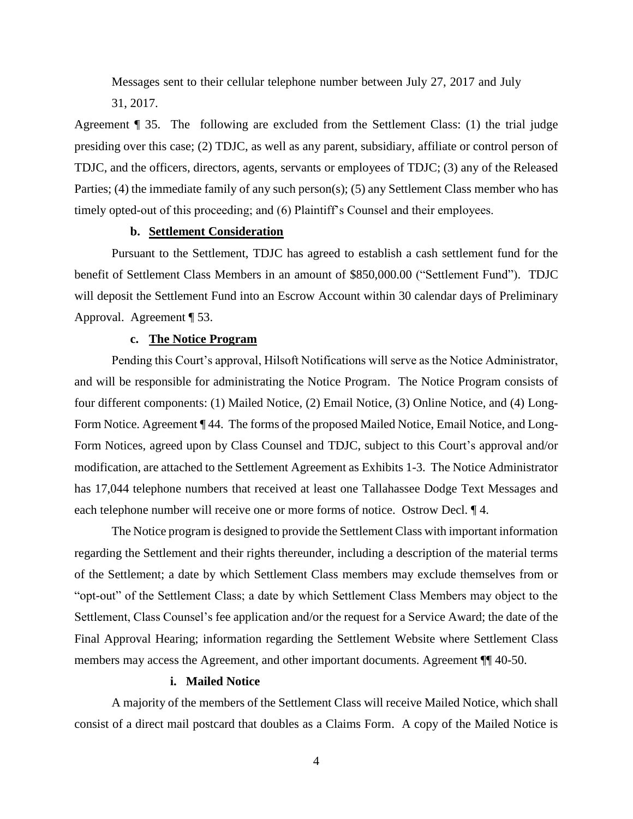Messages sent to their cellular telephone number between July 27, 2017 and July 31, 2017.

Agreement ¶ 35. The following are excluded from the Settlement Class: (1) the trial judge presiding over this case; (2) TDJC, as well as any parent, subsidiary, affiliate or control person of TDJC, and the officers, directors, agents, servants or employees of TDJC; (3) any of the Released Parties; (4) the immediate family of any such person(s); (5) any Settlement Class member who has timely opted-out of this proceeding; and (6) Plaintiff's Counsel and their employees.

#### **b. Settlement Consideration**

Pursuant to the Settlement, TDJC has agreed to establish a cash settlement fund for the benefit of Settlement Class Members in an amount of \$850,000.00 ("Settlement Fund"). TDJC will deposit the Settlement Fund into an Escrow Account within 30 calendar days of Preliminary Approval. Agreement ¶ 53.

#### **c. The Notice Program**

Pending this Court's approval, Hilsoft Notifications will serve as the Notice Administrator, and will be responsible for administrating the Notice Program. The Notice Program consists of four different components: (1) Mailed Notice, (2) Email Notice, (3) Online Notice, and (4) Long-Form Notice. Agreement ¶ 44. The forms of the proposed Mailed Notice, Email Notice, and Long-Form Notices, agreed upon by Class Counsel and TDJC, subject to this Court's approval and/or modification, are attached to the Settlement Agreement as Exhibits 1-3. The Notice Administrator has 17,044 telephone numbers that received at least one Tallahassee Dodge Text Messages and each telephone number will receive one or more forms of notice. Ostrow Decl. ¶ 4.

The Notice program is designed to provide the Settlement Class with important information regarding the Settlement and their rights thereunder, including a description of the material terms of the Settlement; a date by which Settlement Class members may exclude themselves from or "opt-out" of the Settlement Class; a date by which Settlement Class Members may object to the Settlement, Class Counsel's fee application and/or the request for a Service Award; the date of the Final Approval Hearing; information regarding the Settlement Website where Settlement Class members may access the Agreement, and other important documents. Agreement  $\P$  40-50.

## **i. Mailed Notice**

A majority of the members of the Settlement Class will receive Mailed Notice, which shall consist of a direct mail postcard that doubles as a Claims Form. A copy of the Mailed Notice is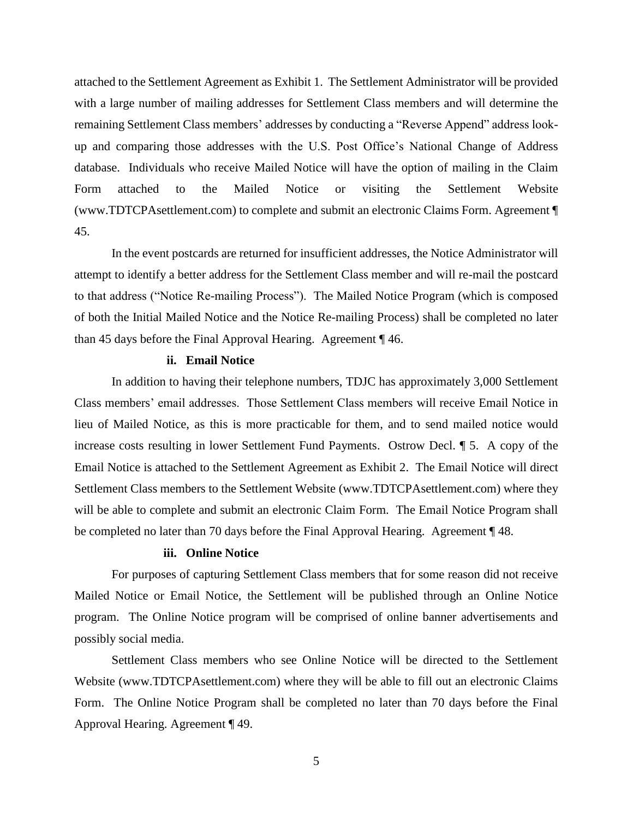attached to the Settlement Agreement as Exhibit 1. The Settlement Administrator will be provided with a large number of mailing addresses for Settlement Class members and will determine the remaining Settlement Class members' addresses by conducting a "Reverse Append" address lookup and comparing those addresses with the U.S. Post Office's National Change of Address database. Individuals who receive Mailed Notice will have the option of mailing in the Claim Form attached to the Mailed Notice or visiting the Settlement Website (www.TDTCPAsettlement.com) to complete and submit an electronic Claims Form. Agreement ¶ 45.

In the event postcards are returned for insufficient addresses, the Notice Administrator will attempt to identify a better address for the Settlement Class member and will re-mail the postcard to that address ("Notice Re-mailing Process"). The Mailed Notice Program (which is composed of both the Initial Mailed Notice and the Notice Re-mailing Process) shall be completed no later than 45 days before the Final Approval Hearing. Agreement ¶ 46.

## **ii. Email Notice**

In addition to having their telephone numbers, TDJC has approximately 3,000 Settlement Class members' email addresses. Those Settlement Class members will receive Email Notice in lieu of Mailed Notice, as this is more practicable for them, and to send mailed notice would increase costs resulting in lower Settlement Fund Payments. Ostrow Decl. ¶ 5. A copy of the Email Notice is attached to the Settlement Agreement as Exhibit 2. The Email Notice will direct Settlement Class members to the Settlement Website (www.TDTCPAsettlement.com) where they will be able to complete and submit an electronic Claim Form. The Email Notice Program shall be completed no later than 70 days before the Final Approval Hearing. Agreement ¶ 48.

## **iii. Online Notice**

For purposes of capturing Settlement Class members that for some reason did not receive Mailed Notice or Email Notice, the Settlement will be published through an Online Notice program. The Online Notice program will be comprised of online banner advertisements and possibly social media.

Settlement Class members who see Online Notice will be directed to the Settlement Website (www.TDTCPAsettlement.com) where they will be able to fill out an electronic Claims Form. The Online Notice Program shall be completed no later than 70 days before the Final Approval Hearing. Agreement ¶ 49.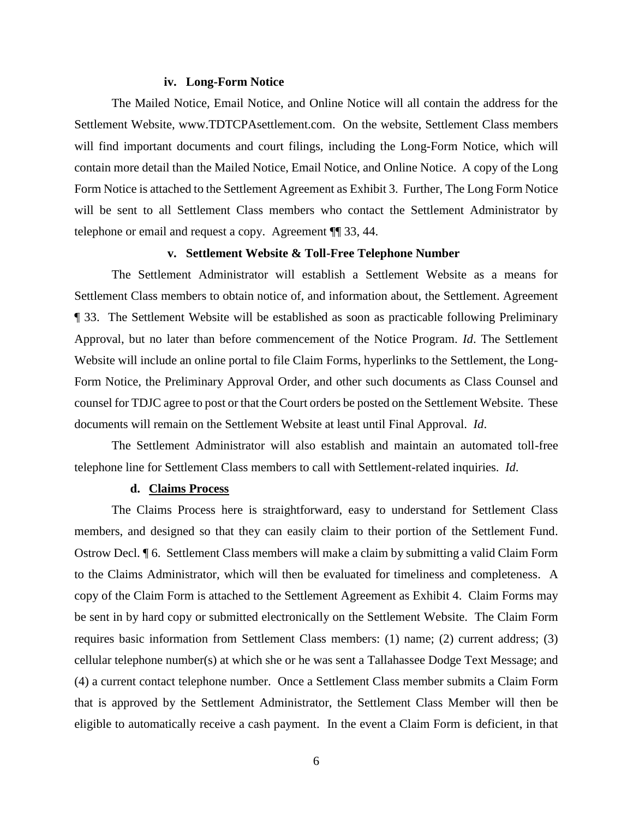#### **iv. Long-Form Notice**

The Mailed Notice, Email Notice, and Online Notice will all contain the address for the Settlement Website, www.TDTCPAsettlement.com. On the website, Settlement Class members will find important documents and court filings, including the Long-Form Notice, which will contain more detail than the Mailed Notice, Email Notice, and Online Notice. A copy of the Long Form Notice is attached to the Settlement Agreement as Exhibit 3. Further, The Long Form Notice will be sent to all Settlement Class members who contact the Settlement Administrator by telephone or email and request a copy. Agreement ¶¶ 33, 44.

## **v. Settlement Website & Toll-Free Telephone Number**

The Settlement Administrator will establish a Settlement Website as a means for Settlement Class members to obtain notice of, and information about, the Settlement. Agreement ¶ 33. The Settlement Website will be established as soon as practicable following Preliminary Approval, but no later than before commencement of the Notice Program. *Id*. The Settlement Website will include an online portal to file Claim Forms, hyperlinks to the Settlement, the Long-Form Notice, the Preliminary Approval Order, and other such documents as Class Counsel and counsel for TDJC agree to post or that the Court orders be posted on the Settlement Website. These documents will remain on the Settlement Website at least until Final Approval. *Id*.

The Settlement Administrator will also establish and maintain an automated toll-free telephone line for Settlement Class members to call with Settlement-related inquiries. *Id*.

## **d. Claims Process**

The Claims Process here is straightforward, easy to understand for Settlement Class members, and designed so that they can easily claim to their portion of the Settlement Fund. Ostrow Decl. ¶ 6. Settlement Class members will make a claim by submitting a valid Claim Form to the Claims Administrator, which will then be evaluated for timeliness and completeness. A copy of the Claim Form is attached to the Settlement Agreement as Exhibit 4. Claim Forms may be sent in by hard copy or submitted electronically on the Settlement Website. The Claim Form requires basic information from Settlement Class members: (1) name; (2) current address; (3) cellular telephone number(s) at which she or he was sent a Tallahassee Dodge Text Message; and (4) a current contact telephone number. Once a Settlement Class member submits a Claim Form that is approved by the Settlement Administrator, the Settlement Class Member will then be eligible to automatically receive a cash payment. In the event a Claim Form is deficient, in that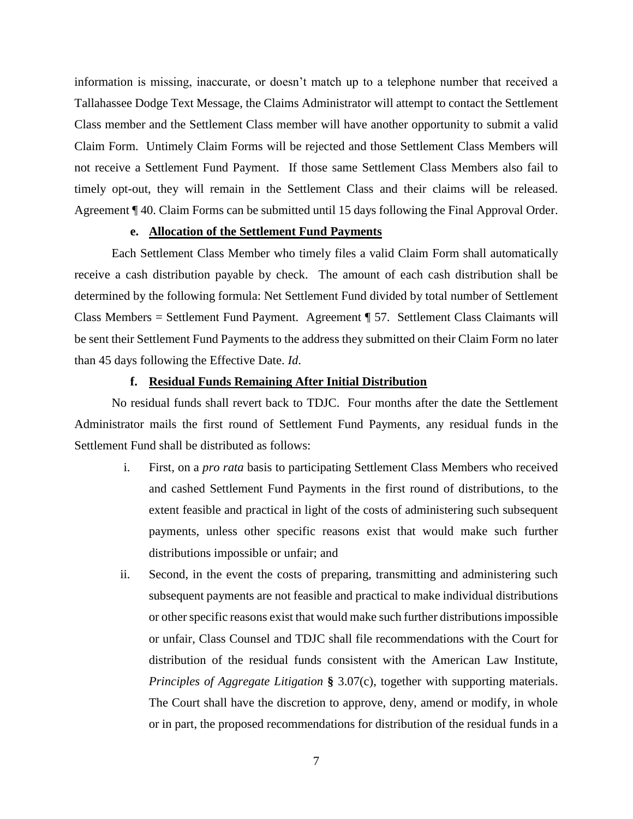information is missing, inaccurate, or doesn't match up to a telephone number that received a Tallahassee Dodge Text Message, the Claims Administrator will attempt to contact the Settlement Class member and the Settlement Class member will have another opportunity to submit a valid Claim Form. Untimely Claim Forms will be rejected and those Settlement Class Members will not receive a Settlement Fund Payment. If those same Settlement Class Members also fail to timely opt-out, they will remain in the Settlement Class and their claims will be released. Agreement ¶ 40. Claim Forms can be submitted until 15 days following the Final Approval Order.

#### **e. Allocation of the Settlement Fund Payments**

Each Settlement Class Member who timely files a valid Claim Form shall automatically receive a cash distribution payable by check. The amount of each cash distribution shall be determined by the following formula: Net Settlement Fund divided by total number of Settlement Class Members = Settlement Fund Payment. Agreement ¶ 57. Settlement Class Claimants will be sent their Settlement Fund Payments to the address they submitted on their Claim Form no later than 45 days following the Effective Date. *Id*.

## **f. Residual Funds Remaining After Initial Distribution**

No residual funds shall revert back to TDJC. Four months after the date the Settlement Administrator mails the first round of Settlement Fund Payments, any residual funds in the Settlement Fund shall be distributed as follows:

- i. First, on a *pro rata* basis to participating Settlement Class Members who received and cashed Settlement Fund Payments in the first round of distributions, to the extent feasible and practical in light of the costs of administering such subsequent payments, unless other specific reasons exist that would make such further distributions impossible or unfair; and
- ii. Second, in the event the costs of preparing, transmitting and administering such subsequent payments are not feasible and practical to make individual distributions or other specific reasons exist that would make such further distributions impossible or unfair, Class Counsel and TDJC shall file recommendations with the Court for distribution of the residual funds consistent with the American Law Institute, *Principles of Aggregate Litigation* **§** 3.07(c), together with supporting materials. The Court shall have the discretion to approve, deny, amend or modify, in whole or in part, the proposed recommendations for distribution of the residual funds in a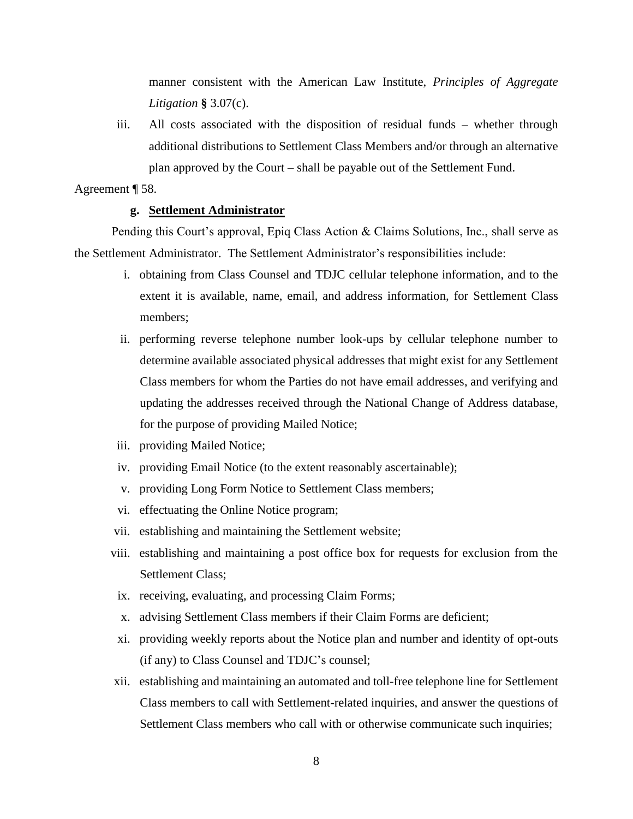manner consistent with the American Law Institute, *Principles of Aggregate Litigation* **§** 3.07(c).

iii. All costs associated with the disposition of residual funds – whether through additional distributions to Settlement Class Members and/or through an alternative plan approved by the Court – shall be payable out of the Settlement Fund.

Agreement ¶ 58.

## **g. Settlement Administrator**

Pending this Court's approval, Epiq Class Action & Claims Solutions, Inc., shall serve as the Settlement Administrator. The Settlement Administrator's responsibilities include:

- i. obtaining from Class Counsel and TDJC cellular telephone information, and to the extent it is available, name, email, and address information, for Settlement Class members;
- ii. performing reverse telephone number look-ups by cellular telephone number to determine available associated physical addresses that might exist for any Settlement Class members for whom the Parties do not have email addresses, and verifying and updating the addresses received through the National Change of Address database, for the purpose of providing Mailed Notice;
- iii. providing Mailed Notice;
- iv. providing Email Notice (to the extent reasonably ascertainable);
- v. providing Long Form Notice to Settlement Class members;
- vi. effectuating the Online Notice program;
- vii. establishing and maintaining the Settlement website;
- viii. establishing and maintaining a post office box for requests for exclusion from the Settlement Class;
- ix. receiving, evaluating, and processing Claim Forms;
- x. advising Settlement Class members if their Claim Forms are deficient;
- xi. providing weekly reports about the Notice plan and number and identity of opt-outs (if any) to Class Counsel and TDJC's counsel;
- xii. establishing and maintaining an automated and toll-free telephone line for Settlement Class members to call with Settlement-related inquiries, and answer the questions of Settlement Class members who call with or otherwise communicate such inquiries;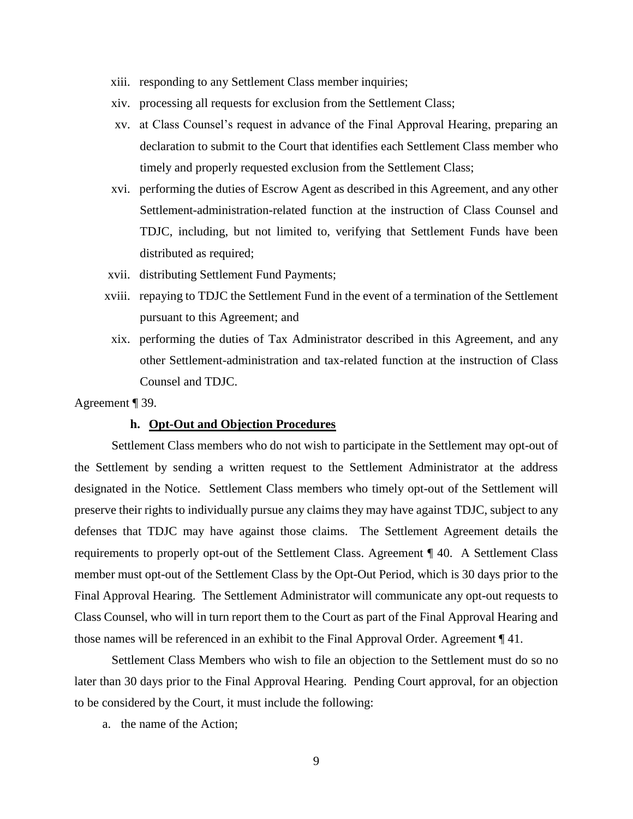- xiii. responding to any Settlement Class member inquiries;
- xiv. processing all requests for exclusion from the Settlement Class;
- xv. at Class Counsel's request in advance of the Final Approval Hearing, preparing an declaration to submit to the Court that identifies each Settlement Class member who timely and properly requested exclusion from the Settlement Class;
- xvi. performing the duties of Escrow Agent as described in this Agreement, and any other Settlement-administration-related function at the instruction of Class Counsel and TDJC, including, but not limited to, verifying that Settlement Funds have been distributed as required;
- xvii. distributing Settlement Fund Payments;
- xviii. repaying to TDJC the Settlement Fund in the event of a termination of the Settlement pursuant to this Agreement; and
	- xix. performing the duties of Tax Administrator described in this Agreement, and any other Settlement-administration and tax-related function at the instruction of Class Counsel and TDJC.

Agreement ¶ 39.

#### **h. Opt-Out and Objection Procedures**

Settlement Class members who do not wish to participate in the Settlement may opt-out of the Settlement by sending a written request to the Settlement Administrator at the address designated in the Notice. Settlement Class members who timely opt-out of the Settlement will preserve their rights to individually pursue any claims they may have against TDJC, subject to any defenses that TDJC may have against those claims. The Settlement Agreement details the requirements to properly opt-out of the Settlement Class. Agreement ¶ 40. A Settlement Class member must opt-out of the Settlement Class by the Opt-Out Period, which is 30 days prior to the Final Approval Hearing. The Settlement Administrator will communicate any opt-out requests to Class Counsel, who will in turn report them to the Court as part of the Final Approval Hearing and those names will be referenced in an exhibit to the Final Approval Order. Agreement ¶ 41.

Settlement Class Members who wish to file an objection to the Settlement must do so no later than 30 days prior to the Final Approval Hearing. Pending Court approval, for an objection to be considered by the Court, it must include the following:

a. the name of the Action;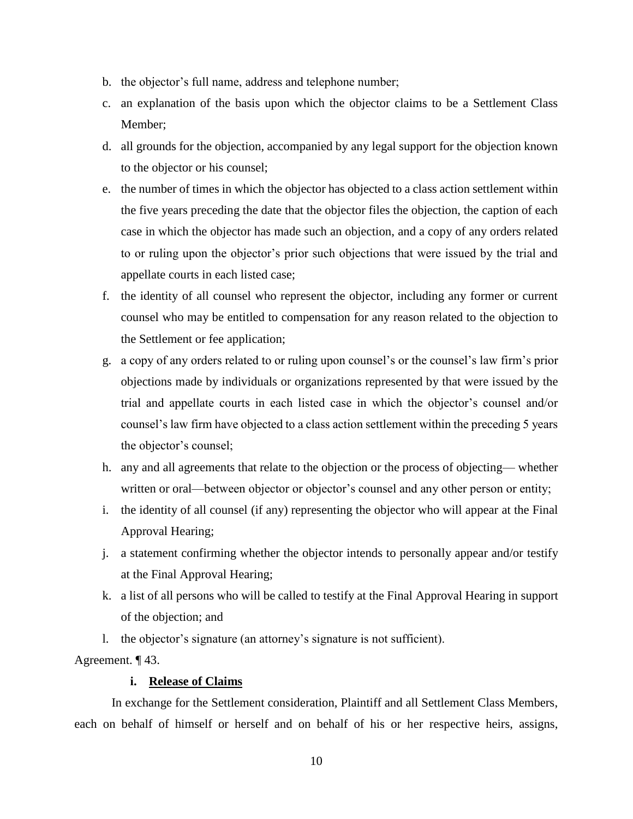- b. the objector's full name, address and telephone number;
- c. an explanation of the basis upon which the objector claims to be a Settlement Class Member;
- d. all grounds for the objection, accompanied by any legal support for the objection known to the objector or his counsel;
- e. the number of times in which the objector has objected to a class action settlement within the five years preceding the date that the objector files the objection, the caption of each case in which the objector has made such an objection, and a copy of any orders related to or ruling upon the objector's prior such objections that were issued by the trial and appellate courts in each listed case;
- f. the identity of all counsel who represent the objector, including any former or current counsel who may be entitled to compensation for any reason related to the objection to the Settlement or fee application;
- g. a copy of any orders related to or ruling upon counsel's or the counsel's law firm's prior objections made by individuals or organizations represented by that were issued by the trial and appellate courts in each listed case in which the objector's counsel and/or counsel's law firm have objected to a class action settlement within the preceding 5 years the objector's counsel;
- h. any and all agreements that relate to the objection or the process of objecting— whether written or oral—between objector or objector's counsel and any other person or entity;
- i. the identity of all counsel (if any) representing the objector who will appear at the Final Approval Hearing;
- j. a statement confirming whether the objector intends to personally appear and/or testify at the Final Approval Hearing;
- k. a list of all persons who will be called to testify at the Final Approval Hearing in support of the objection; and
- l. the objector's signature (an attorney's signature is not sufficient).

Agreement. ¶ 43.

## **i. Release of Claims**

In exchange for the Settlement consideration, Plaintiff and all Settlement Class Members, each on behalf of himself or herself and on behalf of his or her respective heirs, assigns,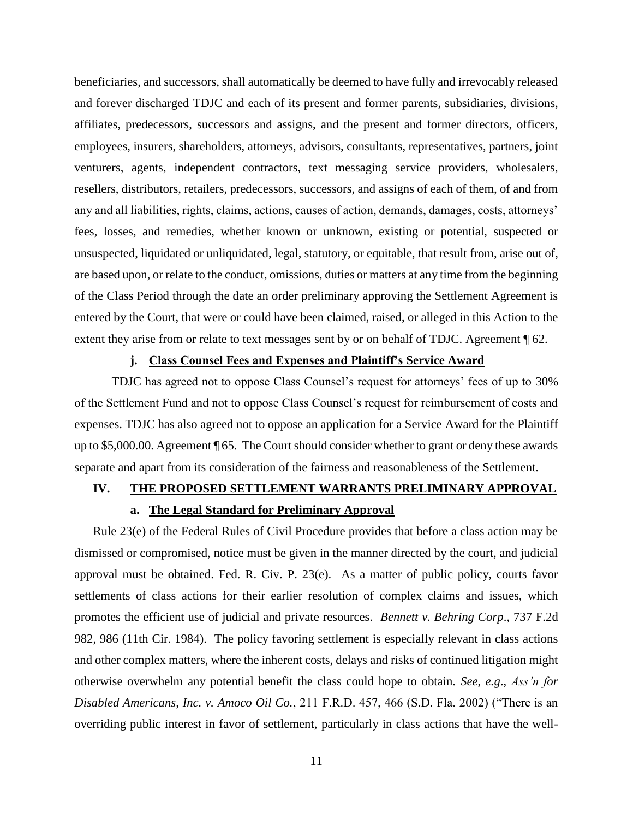beneficiaries, and successors, shall automatically be deemed to have fully and irrevocably released and forever discharged TDJC and each of its present and former parents, subsidiaries, divisions, affiliates, predecessors, successors and assigns, and the present and former directors, officers, employees, insurers, shareholders, attorneys, advisors, consultants, representatives, partners, joint venturers, agents, independent contractors, text messaging service providers, wholesalers, resellers, distributors, retailers, predecessors, successors, and assigns of each of them, of and from any and all liabilities, rights, claims, actions, causes of action, demands, damages, costs, attorneys' fees, losses, and remedies, whether known or unknown, existing or potential, suspected or unsuspected, liquidated or unliquidated, legal, statutory, or equitable, that result from, arise out of, are based upon, or relate to the conduct, omissions, duties or matters at any time from the beginning of the Class Period through the date an order preliminary approving the Settlement Agreement is entered by the Court, that were or could have been claimed, raised, or alleged in this Action to the extent they arise from or relate to text messages sent by or on behalf of TDJC. Agreement  $\P$  62.

## **j. Class Counsel Fees and Expenses and Plaintiff's Service Award**

TDJC has agreed not to oppose Class Counsel's request for attorneys' fees of up to 30% of the Settlement Fund and not to oppose Class Counsel's request for reimbursement of costs and expenses. TDJC has also agreed not to oppose an application for a Service Award for the Plaintiff up to \$5,000.00. Agreement ¶ 65. The Court should consider whether to grant or deny these awards separate and apart from its consideration of the fairness and reasonableness of the Settlement.

## **IV. THE PROPOSED SETTLEMENT WARRANTS PRELIMINARY APPROVAL**

### **a. The Legal Standard for Preliminary Approval**

Rule 23(e) of the Federal Rules of Civil Procedure provides that before a class action may be dismissed or compromised, notice must be given in the manner directed by the court, and judicial approval must be obtained. Fed. R. Civ. P. 23(e). As a matter of public policy, courts favor settlements of class actions for their earlier resolution of complex claims and issues, which promotes the efficient use of judicial and private resources. *Bennett v. Behring Corp*., 737 F.2d 982, 986 (11th Cir. 1984). The policy favoring settlement is especially relevant in class actions and other complex matters, where the inherent costs, delays and risks of continued litigation might otherwise overwhelm any potential benefit the class could hope to obtain. *See*, *e.g*., *Ass'n for Disabled Americans, Inc. v. Amoco Oil Co.*, 211 F.R.D. 457, 466 (S.D. Fla. 2002) ("There is an overriding public interest in favor of settlement, particularly in class actions that have the well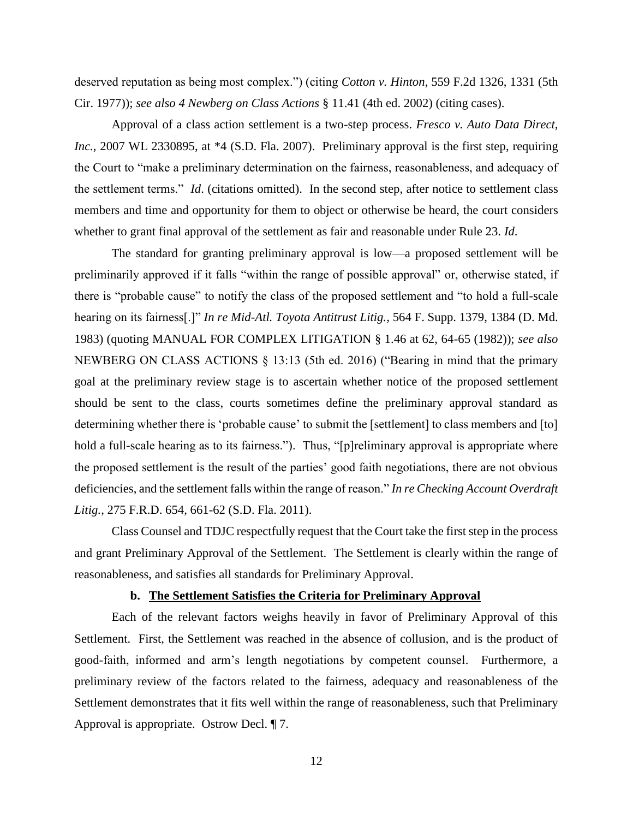deserved reputation as being most complex.") (citing *Cotton v. Hinton*, 559 F.2d 1326, 1331 (5th Cir. 1977)); *see also 4 Newberg on Class Actions* § 11.41 (4th ed. 2002) (citing cases).

Approval of a class action settlement is a two-step process. *Fresco v. Auto Data Direct, Inc.*, 2007 WL 2330895, at \*4 (S.D. Fla. 2007). Preliminary approval is the first step, requiring the Court to "make a preliminary determination on the fairness, reasonableness, and adequacy of the settlement terms." *Id*. (citations omitted). In the second step, after notice to settlement class members and time and opportunity for them to object or otherwise be heard, the court considers whether to grant final approval of the settlement as fair and reasonable under Rule 23. *Id*.

The standard for granting preliminary approval is low—a proposed settlement will be preliminarily approved if it falls "within the range of possible approval" or, otherwise stated, if there is "probable cause" to notify the class of the proposed settlement and "to hold a full-scale hearing on its fairness[.]" *In re Mid-Atl. Toyota Antitrust Litig.*, 564 F. Supp. 1379, 1384 (D. Md. 1983) (quoting MANUAL FOR COMPLEX LITIGATION § 1.46 at 62, 64-65 (1982)); *see also*  NEWBERG ON CLASS ACTIONS § 13:13 (5th ed. 2016) ("Bearing in mind that the primary goal at the preliminary review stage is to ascertain whether notice of the proposed settlement should be sent to the class, courts sometimes define the preliminary approval standard as determining whether there is 'probable cause' to submit the [settlement] to class members and [to] hold a full-scale hearing as to its fairness."). Thus, "[p]reliminary approval is appropriate where the proposed settlement is the result of the parties' good faith negotiations, there are not obvious deficiencies, and the settlement falls within the range of reason." *In re Checking Account Overdraft Litig.*, 275 F.R.D. 654, 661-62 (S.D. Fla. 2011).

Class Counsel and TDJC respectfully request that the Court take the first step in the process and grant Preliminary Approval of the Settlement. The Settlement is clearly within the range of reasonableness, and satisfies all standards for Preliminary Approval.

#### **b. The Settlement Satisfies the Criteria for Preliminary Approval**

Each of the relevant factors weighs heavily in favor of Preliminary Approval of this Settlement. First, the Settlement was reached in the absence of collusion, and is the product of good-faith, informed and arm's length negotiations by competent counsel. Furthermore, a preliminary review of the factors related to the fairness, adequacy and reasonableness of the Settlement demonstrates that it fits well within the range of reasonableness, such that Preliminary Approval is appropriate. Ostrow Decl. ¶ 7.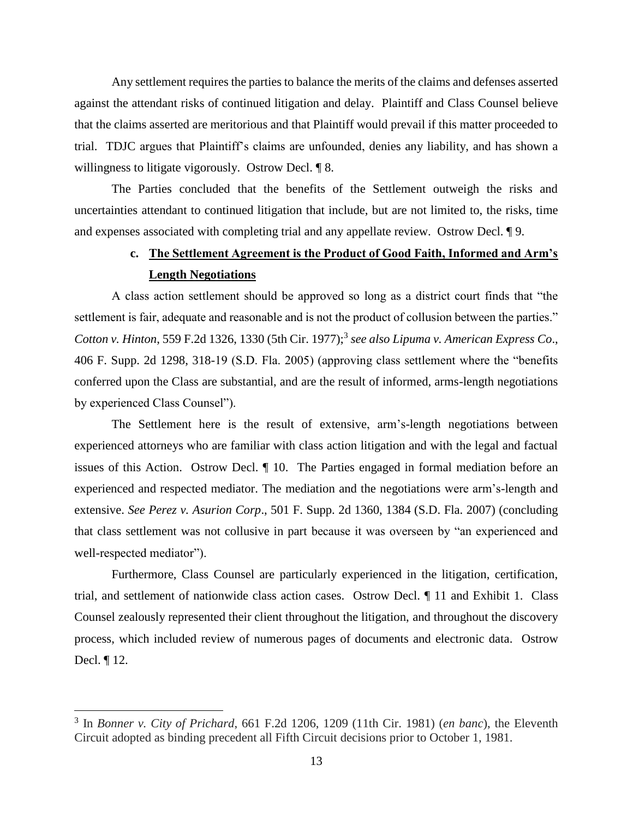Any settlement requires the parties to balance the merits of the claims and defenses asserted against the attendant risks of continued litigation and delay. Plaintiff and Class Counsel believe that the claims asserted are meritorious and that Plaintiff would prevail if this matter proceeded to trial. TDJC argues that Plaintiff's claims are unfounded, denies any liability, and has shown a willingness to litigate vigorously. Ostrow Decl. ¶ 8.

The Parties concluded that the benefits of the Settlement outweigh the risks and uncertainties attendant to continued litigation that include, but are not limited to, the risks, time and expenses associated with completing trial and any appellate review. Ostrow Decl. ¶ 9.

# **c. The Settlement Agreement is the Product of Good Faith, Informed and Arm's Length Negotiations**

A class action settlement should be approved so long as a district court finds that "the settlement is fair, adequate and reasonable and is not the product of collusion between the parties." Cotton v. Hinton, 559 F.2d 1326, 1330 (5th Cir. 1977);<sup>3</sup> see also Lipuma v. American Express Co., 406 F. Supp. 2d 1298, 318-19 (S.D. Fla. 2005) (approving class settlement where the "benefits conferred upon the Class are substantial, and are the result of informed, arms-length negotiations by experienced Class Counsel").

The Settlement here is the result of extensive, arm's-length negotiations between experienced attorneys who are familiar with class action litigation and with the legal and factual issues of this Action. Ostrow Decl. ¶ 10. The Parties engaged in formal mediation before an experienced and respected mediator. The mediation and the negotiations were arm's-length and extensive. *See Perez v. Asurion Corp*., 501 F. Supp. 2d 1360, 1384 (S.D. Fla. 2007) (concluding that class settlement was not collusive in part because it was overseen by "an experienced and well-respected mediator").

Furthermore, Class Counsel are particularly experienced in the litigation, certification, trial, and settlement of nationwide class action cases. Ostrow Decl. ¶ 11 and Exhibit 1. Class Counsel zealously represented their client throughout the litigation, and throughout the discovery process, which included review of numerous pages of documents and electronic data. Ostrow Decl. ¶ 12.

 $\overline{a}$ 

<sup>3</sup> In *Bonner v. City of Prichard*, 661 F.2d 1206, 1209 (11th Cir. 1981) (*en banc*), the Eleventh Circuit adopted as binding precedent all Fifth Circuit decisions prior to October 1, 1981.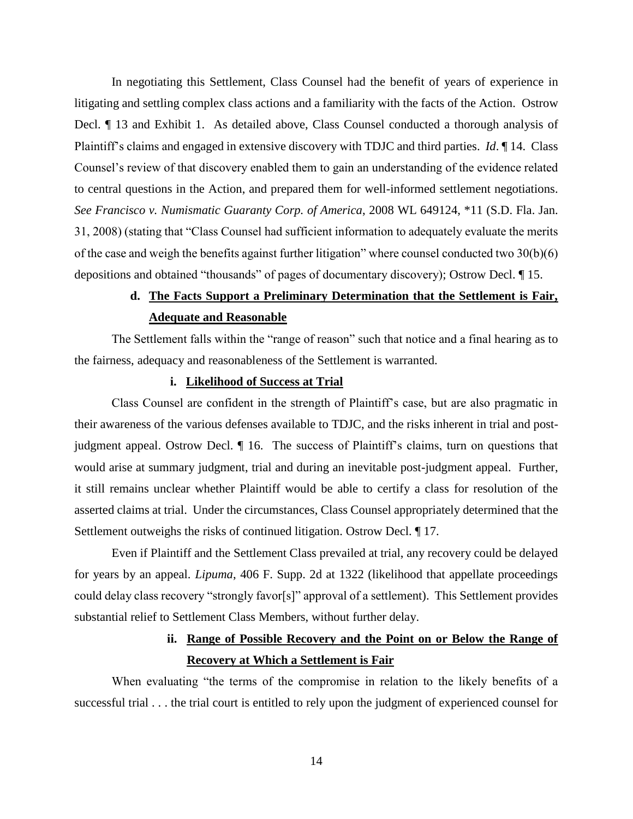In negotiating this Settlement, Class Counsel had the benefit of years of experience in litigating and settling complex class actions and a familiarity with the facts of the Action. Ostrow Decl. ¶ 13 and Exhibit 1. As detailed above, Class Counsel conducted a thorough analysis of Plaintiff's claims and engaged in extensive discovery with TDJC and third parties. *Id*. ¶ 14. Class Counsel's review of that discovery enabled them to gain an understanding of the evidence related to central questions in the Action, and prepared them for well-informed settlement negotiations. *See Francisco v. Numismatic Guaranty Corp. of America*, 2008 WL 649124, \*11 (S.D. Fla. Jan. 31, 2008) (stating that "Class Counsel had sufficient information to adequately evaluate the merits of the case and weigh the benefits against further litigation" where counsel conducted two 30(b)(6) depositions and obtained "thousands" of pages of documentary discovery); Ostrow Decl. ¶ 15.

# **d. The Facts Support a Preliminary Determination that the Settlement is Fair, Adequate and Reasonable**

The Settlement falls within the "range of reason" such that notice and a final hearing as to the fairness, adequacy and reasonableness of the Settlement is warranted.

## **i. Likelihood of Success at Trial**

Class Counsel are confident in the strength of Plaintiff's case, but are also pragmatic in their awareness of the various defenses available to TDJC, and the risks inherent in trial and postjudgment appeal. Ostrow Decl. ¶ 16. The success of Plaintiff's claims, turn on questions that would arise at summary judgment, trial and during an inevitable post-judgment appeal. Further, it still remains unclear whether Plaintiff would be able to certify a class for resolution of the asserted claims at trial. Under the circumstances, Class Counsel appropriately determined that the Settlement outweighs the risks of continued litigation. Ostrow Decl. ¶ 17.

Even if Plaintiff and the Settlement Class prevailed at trial, any recovery could be delayed for years by an appeal. *Lipuma*, 406 F. Supp. 2d at 1322 (likelihood that appellate proceedings could delay class recovery "strongly favor[s]" approval of a settlement). This Settlement provides substantial relief to Settlement Class Members, without further delay.

# **ii. Range of Possible Recovery and the Point on or Below the Range of Recovery at Which a Settlement is Fair**

When evaluating "the terms of the compromise in relation to the likely benefits of a successful trial . . . the trial court is entitled to rely upon the judgment of experienced counsel for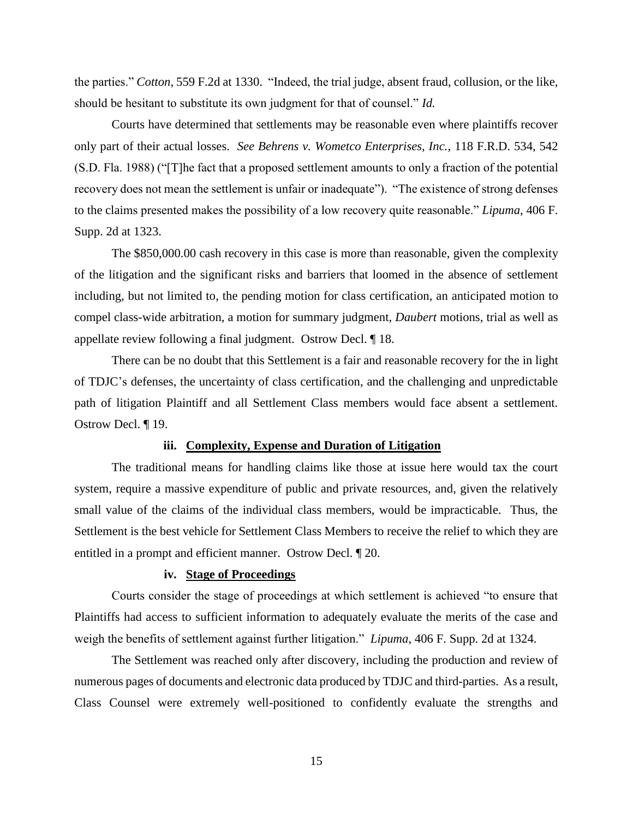the parties." *Cotton*, 559 F.2d at 1330. "Indeed, the trial judge, absent fraud, collusion, or the like, should be hesitant to substitute its own judgment for that of counsel." *Id.* 

Courts have determined that settlements may be reasonable even where plaintiffs recover only part of their actual losses. *See Behrens v. Wometco Enterprises, Inc.*, 118 F.R.D. 534, 542 (S.D. Fla. 1988) ("[T]he fact that a proposed settlement amounts to only a fraction of the potential recovery does not mean the settlement is unfair or inadequate"). "The existence of strong defenses to the claims presented makes the possibility of a low recovery quite reasonable." *Lipuma*, 406 F. Supp. 2d at 1323.

The \$850,000.00 cash recovery in this case is more than reasonable, given the complexity of the litigation and the significant risks and barriers that loomed in the absence of settlement including, but not limited to, the pending motion for class certification, an anticipated motion to compel class-wide arbitration, a motion for summary judgment, *Daubert* motions, trial as well as appellate review following a final judgment. Ostrow Decl. ¶ 18.

There can be no doubt that this Settlement is a fair and reasonable recovery for the in light of TDJC's defenses, the uncertainty of class certification, and the challenging and unpredictable path of litigation Plaintiff and all Settlement Class members would face absent a settlement. Ostrow Decl. ¶ 19.

## **iii. Complexity, Expense and Duration of Litigation**

The traditional means for handling claims like those at issue here would tax the court system, require a massive expenditure of public and private resources, and, given the relatively small value of the claims of the individual class members, would be impracticable. Thus, the Settlement is the best vehicle for Settlement Class Members to receive the relief to which they are entitled in a prompt and efficient manner. Ostrow Decl. ¶ 20.

## **iv. Stage of Proceedings**

Courts consider the stage of proceedings at which settlement is achieved "to ensure that Plaintiffs had access to sufficient information to adequately evaluate the merits of the case and weigh the benefits of settlement against further litigation." *Lipuma*, 406 F. Supp. 2d at 1324.

The Settlement was reached only after discovery, including the production and review of numerous pages of documents and electronic data produced by TDJC and third-parties. As a result, Class Counsel were extremely well-positioned to confidently evaluate the strengths and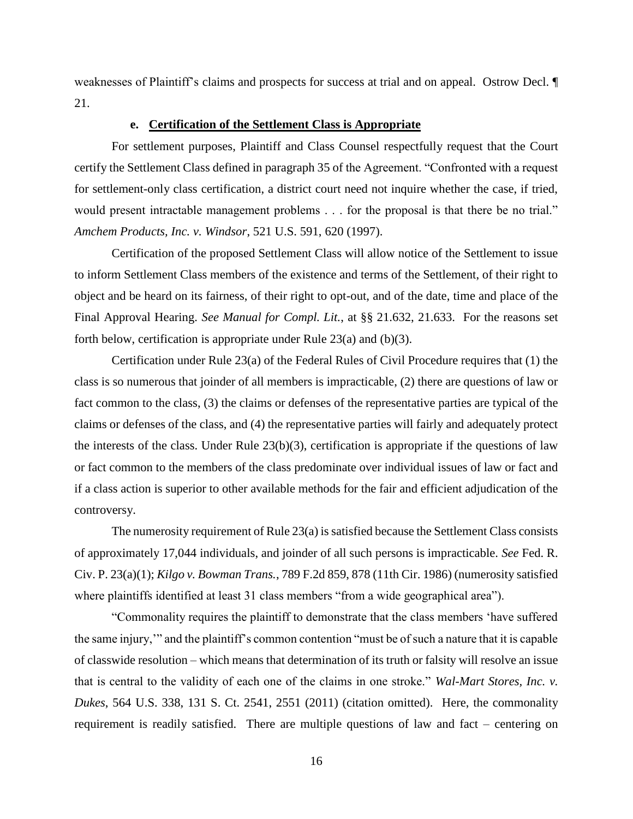weaknesses of Plaintiff's claims and prospects for success at trial and on appeal. Ostrow Decl. ¶ 21.

## **e. Certification of the Settlement Class is Appropriate**

For settlement purposes, Plaintiff and Class Counsel respectfully request that the Court certify the Settlement Class defined in paragraph 35 of the Agreement. "Confronted with a request for settlement-only class certification, a district court need not inquire whether the case, if tried, would present intractable management problems . . . for the proposal is that there be no trial." *Amchem Products, Inc. v. Windsor*, 521 U.S. 591, 620 (1997).

Certification of the proposed Settlement Class will allow notice of the Settlement to issue to inform Settlement Class members of the existence and terms of the Settlement, of their right to object and be heard on its fairness, of their right to opt-out, and of the date, time and place of the Final Approval Hearing. *See Manual for Compl. Lit.*, at §§ 21.632, 21.633. For the reasons set forth below, certification is appropriate under Rule 23(a) and (b)(3).

Certification under Rule 23(a) of the Federal Rules of Civil Procedure requires that (1) the class is so numerous that joinder of all members is impracticable, (2) there are questions of law or fact common to the class, (3) the claims or defenses of the representative parties are typical of the claims or defenses of the class, and (4) the representative parties will fairly and adequately protect the interests of the class. Under Rule  $23(b)(3)$ , certification is appropriate if the questions of law or fact common to the members of the class predominate over individual issues of law or fact and if a class action is superior to other available methods for the fair and efficient adjudication of the controversy.

The numerosity requirement of Rule 23(a) is satisfied because the Settlement Class consists of approximately 17,044 individuals, and joinder of all such persons is impracticable. *See* Fed. R. Civ. P. 23(a)(1); *Kilgo v. Bowman Trans.*, 789 F.2d 859, 878 (11th Cir. 1986) (numerosity satisfied where plaintiffs identified at least 31 class members "from a wide geographical area").

"Commonality requires the plaintiff to demonstrate that the class members 'have suffered the same injury,'" and the plaintiff's common contention "must be of such a nature that it is capable of classwide resolution – which means that determination of its truth or falsity will resolve an issue that is central to the validity of each one of the claims in one stroke." *Wal-Mart Stores, Inc. v. Dukes*, 564 U.S. 338, 131 S. Ct. 2541, 2551 (2011) (citation omitted). Here, the commonality requirement is readily satisfied. There are multiple questions of law and fact – centering on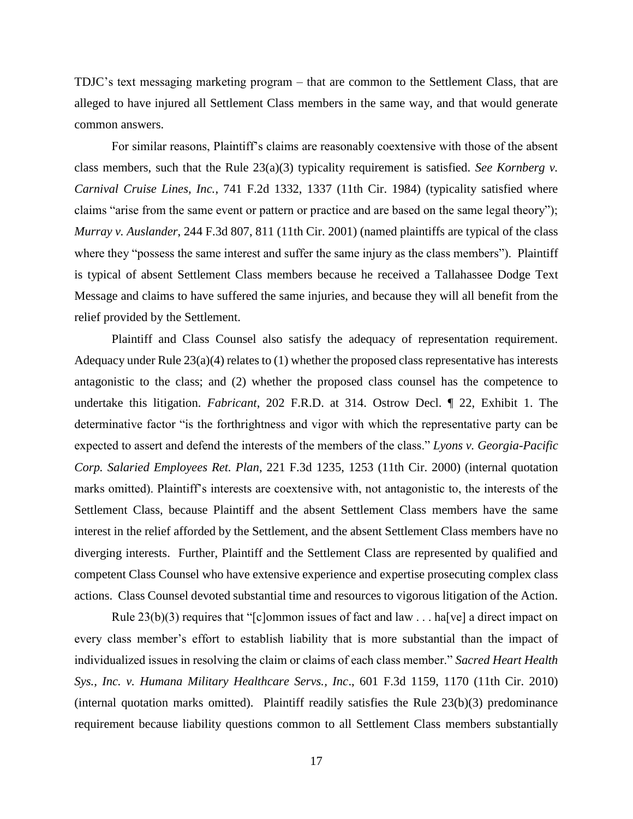TDJC's text messaging marketing program – that are common to the Settlement Class, that are alleged to have injured all Settlement Class members in the same way, and that would generate common answers.

For similar reasons, Plaintiff's claims are reasonably coextensive with those of the absent class members, such that the Rule 23(a)(3) typicality requirement is satisfied. *See Kornberg v. Carnival Cruise Lines, Inc.*, 741 F.2d 1332, 1337 (11th Cir. 1984) (typicality satisfied where claims "arise from the same event or pattern or practice and are based on the same legal theory"); *Murray v. Auslander*, 244 F.3d 807, 811 (11th Cir. 2001) (named plaintiffs are typical of the class where they "possess the same interest and suffer the same injury as the class members"). Plaintiff is typical of absent Settlement Class members because he received a Tallahassee Dodge Text Message and claims to have suffered the same injuries, and because they will all benefit from the relief provided by the Settlement.

Plaintiff and Class Counsel also satisfy the adequacy of representation requirement. Adequacy under Rule  $23(a)(4)$  relates to (1) whether the proposed class representative has interests antagonistic to the class; and (2) whether the proposed class counsel has the competence to undertake this litigation. *Fabricant*, 202 F.R.D. at 314. Ostrow Decl. ¶ 22, Exhibit 1. The determinative factor "is the forthrightness and vigor with which the representative party can be expected to assert and defend the interests of the members of the class." *Lyons v. Georgia-Pacific Corp. Salaried Employees Ret. Plan*, 221 F.3d 1235, 1253 (11th Cir. 2000) (internal quotation marks omitted). Plaintiff's interests are coextensive with, not antagonistic to, the interests of the Settlement Class, because Plaintiff and the absent Settlement Class members have the same interest in the relief afforded by the Settlement, and the absent Settlement Class members have no diverging interests. Further, Plaintiff and the Settlement Class are represented by qualified and competent Class Counsel who have extensive experience and expertise prosecuting complex class actions. Class Counsel devoted substantial time and resources to vigorous litigation of the Action.

Rule  $23(b)(3)$  requires that "[c]ommon issues of fact and law ... ha[ve] a direct impact on every class member's effort to establish liability that is more substantial than the impact of individualized issues in resolving the claim or claims of each class member." *Sacred Heart Health Sys., Inc. v. Humana Military Healthcare Servs., Inc*., 601 F.3d 1159, 1170 (11th Cir. 2010) (internal quotation marks omitted). Plaintiff readily satisfies the Rule 23(b)(3) predominance requirement because liability questions common to all Settlement Class members substantially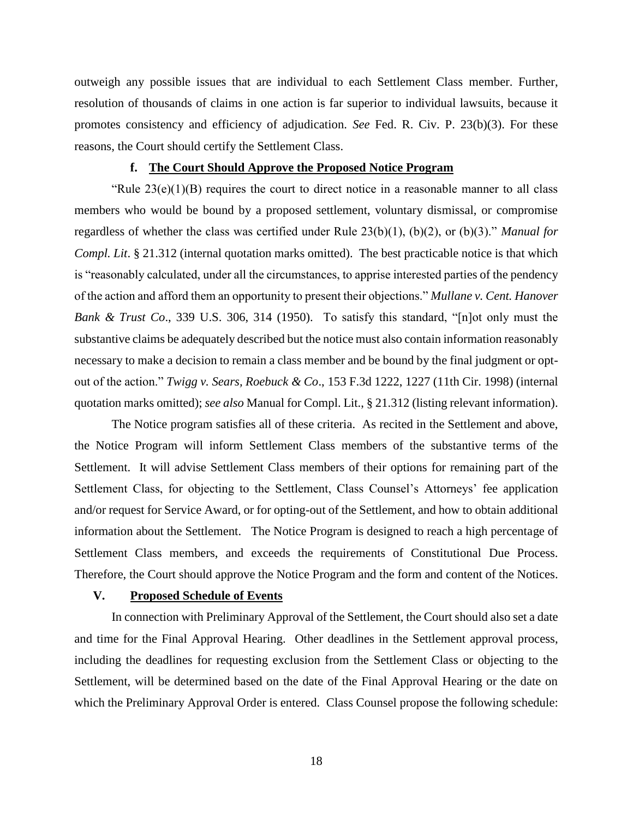outweigh any possible issues that are individual to each Settlement Class member. Further, resolution of thousands of claims in one action is far superior to individual lawsuits, because it promotes consistency and efficiency of adjudication. *See* Fed. R. Civ. P. 23(b)(3). For these reasons, the Court should certify the Settlement Class.

#### **f. The Court Should Approve the Proposed Notice Program**

"Rule  $23(e)(1)(B)$  requires the court to direct notice in a reasonable manner to all class members who would be bound by a proposed settlement, voluntary dismissal, or compromise regardless of whether the class was certified under Rule 23(b)(1), (b)(2), or (b)(3)." *Manual for Compl. Lit.* § 21.312 (internal quotation marks omitted). The best practicable notice is that which is "reasonably calculated, under all the circumstances, to apprise interested parties of the pendency of the action and afford them an opportunity to present their objections." *Mullane v. Cent. Hanover Bank & Trust Co*., 339 U.S. 306, 314 (1950). To satisfy this standard, "[n]ot only must the substantive claims be adequately described but the notice must also contain information reasonably necessary to make a decision to remain a class member and be bound by the final judgment or optout of the action." *Twigg v. Sears, Roebuck & Co*., 153 F.3d 1222, 1227 (11th Cir. 1998) (internal quotation marks omitted); *see also* Manual for Compl. Lit., § 21.312 (listing relevant information).

The Notice program satisfies all of these criteria. As recited in the Settlement and above, the Notice Program will inform Settlement Class members of the substantive terms of the Settlement. It will advise Settlement Class members of their options for remaining part of the Settlement Class, for objecting to the Settlement, Class Counsel's Attorneys' fee application and/or request for Service Award, or for opting-out of the Settlement, and how to obtain additional information about the Settlement. The Notice Program is designed to reach a high percentage of Settlement Class members, and exceeds the requirements of Constitutional Due Process. Therefore, the Court should approve the Notice Program and the form and content of the Notices.

## **V. Proposed Schedule of Events**

In connection with Preliminary Approval of the Settlement, the Court should also set a date and time for the Final Approval Hearing. Other deadlines in the Settlement approval process, including the deadlines for requesting exclusion from the Settlement Class or objecting to the Settlement, will be determined based on the date of the Final Approval Hearing or the date on which the Preliminary Approval Order is entered. Class Counsel propose the following schedule: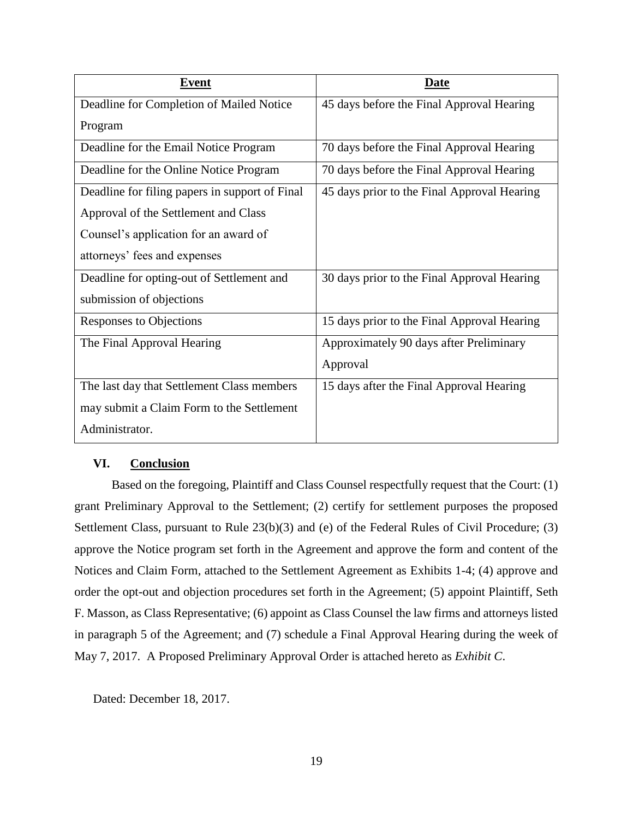| <u>Event</u>                                   | Date                                        |
|------------------------------------------------|---------------------------------------------|
| Deadline for Completion of Mailed Notice       | 45 days before the Final Approval Hearing   |
| Program                                        |                                             |
| Deadline for the Email Notice Program          | 70 days before the Final Approval Hearing   |
| Deadline for the Online Notice Program         | 70 days before the Final Approval Hearing   |
| Deadline for filing papers in support of Final | 45 days prior to the Final Approval Hearing |
| Approval of the Settlement and Class           |                                             |
| Counsel's application for an award of          |                                             |
| attorneys' fees and expenses                   |                                             |
| Deadline for opting-out of Settlement and      | 30 days prior to the Final Approval Hearing |
| submission of objections                       |                                             |
| Responses to Objections                        | 15 days prior to the Final Approval Hearing |
| The Final Approval Hearing                     | Approximately 90 days after Preliminary     |
|                                                | Approval                                    |
| The last day that Settlement Class members     | 15 days after the Final Approval Hearing    |
| may submit a Claim Form to the Settlement      |                                             |
| Administrator.                                 |                                             |

## **VI. Conclusion**

Based on the foregoing, Plaintiff and Class Counsel respectfully request that the Court: (1) grant Preliminary Approval to the Settlement; (2) certify for settlement purposes the proposed Settlement Class, pursuant to Rule 23(b)(3) and (e) of the Federal Rules of Civil Procedure; (3) approve the Notice program set forth in the Agreement and approve the form and content of the Notices and Claim Form, attached to the Settlement Agreement as Exhibits 1-4; (4) approve and order the opt-out and objection procedures set forth in the Agreement; (5) appoint Plaintiff, Seth F. Masson, as Class Representative; (6) appoint as Class Counsel the law firms and attorneys listed in paragraph 5 of the Agreement; and (7) schedule a Final Approval Hearing during the week of May 7, 2017. A Proposed Preliminary Approval Order is attached hereto as *Exhibit C*.

Dated: December 18, 2017.